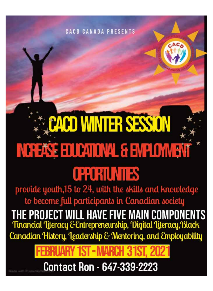### **CACD CANADA PRESENTS**

# **CACD WINTER SESSION** NCREASE EDUCATIONAL & ENPLOYMENT

## **CROHUNIES**

provide youth, 15 to 24, with the skills and knowledge to become full participants in Canadian society

**THE PROJECT WILL HAVE FIVE MAIN COMPONENTS**<br>Financial Literacy & Entrepreneurship, Digital Literacy, Black Canadian History, Leadership & Mentoring, and Employability

Contact Ron - 647-339-2223